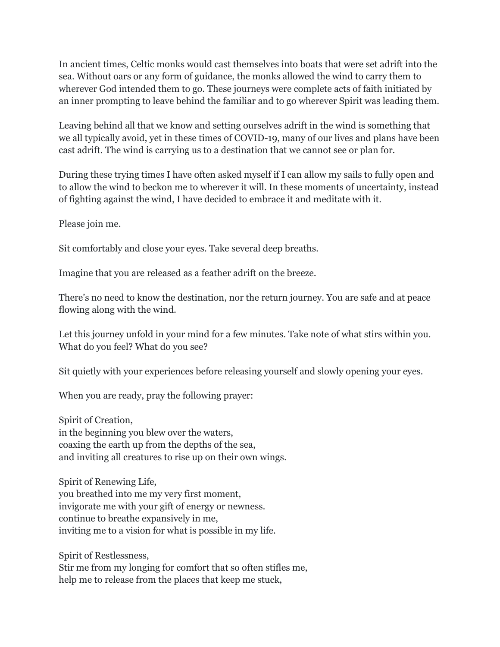In ancient times, Celtic monks would cast themselves into boats that were set adrift into the sea. Without oars or any form of guidance, the monks allowed the wind to carry them to wherever God intended them to go. These journeys were complete acts of faith initiated by an inner prompting to leave behind the familiar and to go wherever Spirit was leading them.

Leaving behind all that we know and setting ourselves adrift in the wind is something that we all typically avoid, yet in these times of COVID-19, many of our lives and plans have been cast adrift. The wind is carrying us to a destination that we cannot see or plan for.

During these trying times I have often asked myself if I can allow my sails to fully open and to allow the wind to beckon me to wherever it will. In these moments of uncertainty, instead of fighting against the wind, I have decided to embrace it and meditate with it.

Please join me.

Sit comfortably and close your eyes. Take several deep breaths.

Imagine that you are released as a feather adrift on the breeze.

There's no need to know the destination, nor the return journey. You are safe and at peace flowing along with the wind.

Let this journey unfold in your mind for a few minutes. Take note of what stirs within you. What do you feel? What do you see?

Sit quietly with your experiences before releasing yourself and slowly opening your eyes.

When you are ready, pray the following prayer:

Spirit of Creation, in the beginning you blew over the waters, coaxing the earth up from the depths of the sea, and inviting all creatures to rise up on their own wings.

Spirit of Renewing Life, you breathed into me my very first moment, invigorate me with your gift of energy or newness. continue to breathe expansively in me, inviting me to a vision for what is possible in my life.

Spirit of Restlessness,

Stir me from my longing for comfort that so often stifles me, help me to release from the places that keep me stuck,